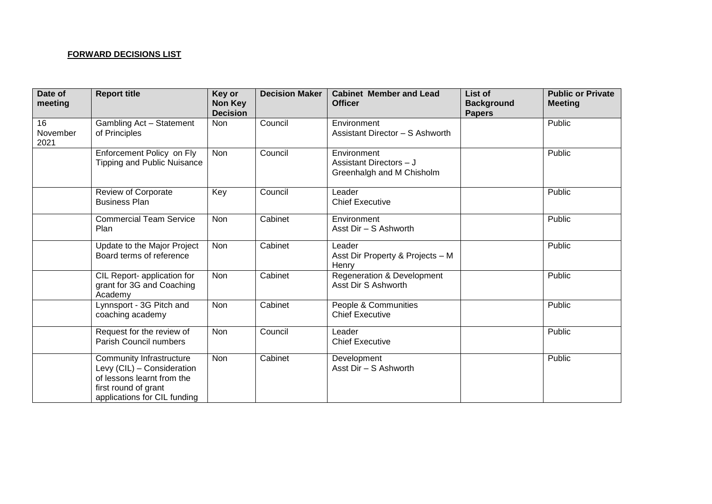## **FORWARD DECISIONS LIST**

| Date of<br>meeting     | <b>Report title</b>                                                                                                                          | Key or<br><b>Non Key</b><br><b>Decision</b> | <b>Decision Maker</b> | <b>Cabinet Member and Lead</b><br><b>Officer</b>                    | List of<br><b>Background</b><br><b>Papers</b> | <b>Public or Private</b><br><b>Meeting</b> |
|------------------------|----------------------------------------------------------------------------------------------------------------------------------------------|---------------------------------------------|-----------------------|---------------------------------------------------------------------|-----------------------------------------------|--------------------------------------------|
| 16<br>November<br>2021 | Gambling Act - Statement<br>of Principles                                                                                                    | Non                                         | Council               | Environment<br>Assistant Director - S Ashworth                      |                                               | Public                                     |
|                        | Enforcement Policy on Fly<br><b>Tipping and Public Nuisance</b>                                                                              | Non                                         | Council               | Environment<br>Assistant Directors - J<br>Greenhalgh and M Chisholm |                                               | Public                                     |
|                        | <b>Review of Corporate</b><br><b>Business Plan</b>                                                                                           | Key                                         | Council               | Leader<br><b>Chief Executive</b>                                    |                                               | Public                                     |
|                        | <b>Commercial Team Service</b><br>Plan                                                                                                       | Non                                         | Cabinet               | Environment<br>Asst Dir - S Ashworth                                |                                               | Public                                     |
|                        | Update to the Major Project<br>Board terms of reference                                                                                      | Non                                         | Cabinet               | Leader<br>Asst Dir Property & Projects - M<br>Henry                 |                                               | Public                                     |
|                        | CIL Report- application for<br>grant for 3G and Coaching<br>Academy                                                                          | Non                                         | Cabinet               | Regeneration & Development<br>Asst Dir S Ashworth                   |                                               | Public                                     |
|                        | Lynnsport - 3G Pitch and<br>coaching academy                                                                                                 | Non                                         | Cabinet               | People & Communities<br><b>Chief Executive</b>                      |                                               | Public                                     |
|                        | Request for the review of<br>Parish Council numbers                                                                                          | Non                                         | Council               | Leader<br><b>Chief Executive</b>                                    |                                               | Public                                     |
|                        | Community Infrastructure<br>Levy (CIL) - Consideration<br>of lessons learnt from the<br>first round of grant<br>applications for CIL funding | Non                                         | Cabinet               | Development<br>Asst Dir - S Ashworth                                |                                               | Public                                     |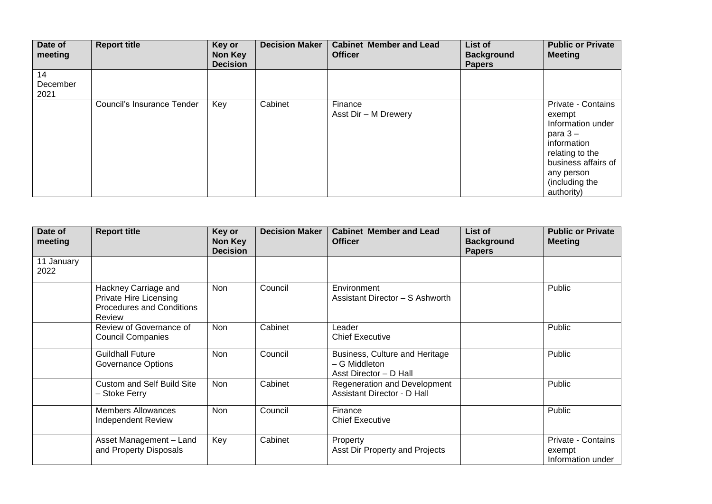| Date of<br>meeting     | <b>Report title</b>        | Key or<br>Non Key<br><b>Decision</b> | <b>Decision Maker</b> | <b>Cabinet Member and Lead</b><br><b>Officer</b> | List of<br><b>Background</b><br><b>Papers</b> | <b>Public or Private</b><br><b>Meeting</b>                                                                                                                            |
|------------------------|----------------------------|--------------------------------------|-----------------------|--------------------------------------------------|-----------------------------------------------|-----------------------------------------------------------------------------------------------------------------------------------------------------------------------|
| 14<br>December<br>2021 |                            |                                      |                       |                                                  |                                               |                                                                                                                                                                       |
|                        | Council's Insurance Tender | Key                                  | Cabinet               | Finance<br>Asst Dir - M Drewery                  |                                               | Private - Contains<br>exempt<br>Information under<br>para $3-$<br>information<br>relating to the<br>business affairs of<br>any person<br>(including the<br>authority) |

| Date of<br>meeting | <b>Report title</b>                                                                                 | Key or<br>Non Key<br><b>Decision</b> | <b>Decision Maker</b> | <b>Cabinet Member and Lead</b><br><b>Officer</b>                          | List of<br><b>Background</b><br><b>Papers</b> | <b>Public or Private</b><br><b>Meeting</b>        |
|--------------------|-----------------------------------------------------------------------------------------------------|--------------------------------------|-----------------------|---------------------------------------------------------------------------|-----------------------------------------------|---------------------------------------------------|
| 11 January<br>2022 |                                                                                                     |                                      |                       |                                                                           |                                               |                                                   |
|                    | Hackney Carriage and<br><b>Private Hire Licensing</b><br><b>Procedures and Conditions</b><br>Review | <b>Non</b>                           | Council               | Environment<br>Assistant Director - S Ashworth                            |                                               | Public                                            |
|                    | Review of Governance of<br><b>Council Companies</b>                                                 | Non                                  | Cabinet               | Leader<br><b>Chief Executive</b>                                          |                                               | Public                                            |
|                    | <b>Guildhall Future</b><br><b>Governance Options</b>                                                | <b>Non</b>                           | Council               | Business, Culture and Heritage<br>- G Middleton<br>Asst Director - D Hall |                                               | Public                                            |
|                    | <b>Custom and Self Build Site</b><br>- Stoke Ferry                                                  | <b>Non</b>                           | Cabinet               | Regeneration and Development<br>Assistant Director - D Hall               |                                               | Public                                            |
|                    | <b>Members Allowances</b><br><b>Independent Review</b>                                              | Non                                  | Council               | Finance<br><b>Chief Executive</b>                                         |                                               | Public                                            |
|                    | Asset Management - Land<br>and Property Disposals                                                   | Key                                  | Cabinet               | Property<br>Asst Dir Property and Projects                                |                                               | Private - Contains<br>exempt<br>Information under |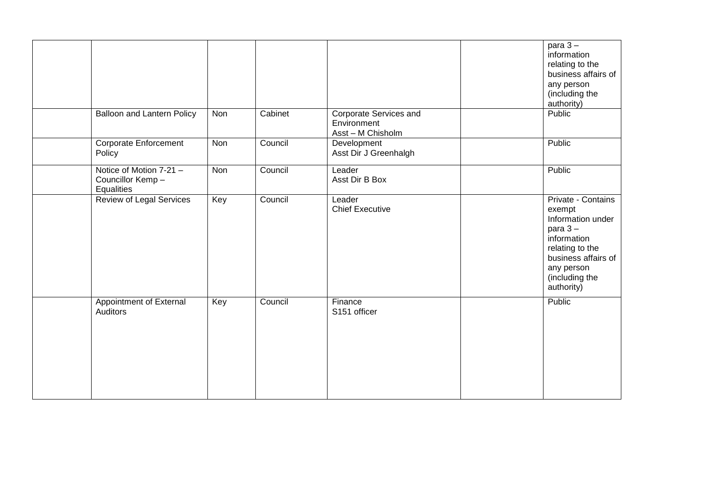|                                                           |     |         |                                                            | para $3-$<br>information<br>relating to the<br>business affairs of<br>any person<br>(including the<br>authority)                                                      |
|-----------------------------------------------------------|-----|---------|------------------------------------------------------------|-----------------------------------------------------------------------------------------------------------------------------------------------------------------------|
| <b>Balloon and Lantern Policy</b>                         | Non | Cabinet | Corporate Services and<br>Environment<br>Asst - M Chisholm | Public                                                                                                                                                                |
| <b>Corporate Enforcement</b><br>Policy                    | Non | Council | Development<br>Asst Dir J Greenhalgh                       | Public                                                                                                                                                                |
| Notice of Motion 7-21 -<br>Councillor Kemp-<br>Equalities | Non | Council | Leader<br>Asst Dir B Box                                   | Public                                                                                                                                                                |
| Review of Legal Services                                  | Key | Council | Leader<br><b>Chief Executive</b>                           | Private - Contains<br>exempt<br>Information under<br>para $3-$<br>information<br>relating to the<br>business affairs of<br>any person<br>(including the<br>authority) |
| Appointment of External<br>Auditors                       | Key | Council | Finance<br>S151 officer                                    | Public                                                                                                                                                                |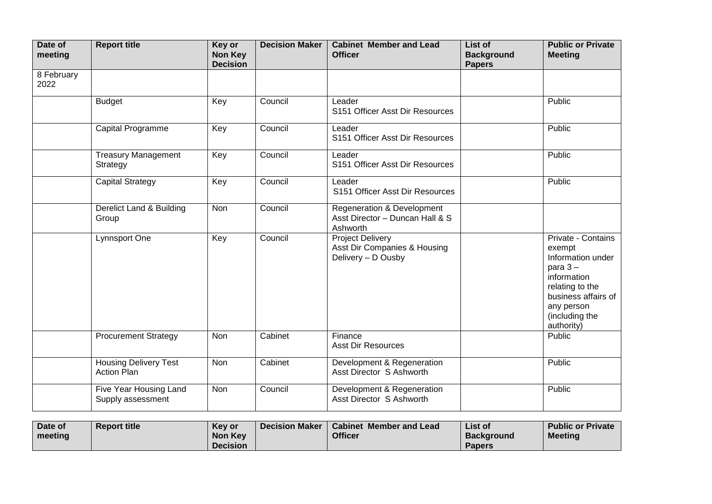| Date of<br>meeting | <b>Report title</b>                                | Key or<br>Non Key<br><b>Decision</b> | <b>Decision Maker</b> | <b>Cabinet Member and Lead</b><br><b>Officer</b>                                     | List of<br><b>Background</b><br><b>Papers</b> | <b>Public or Private</b><br><b>Meeting</b>                                                                                                                            |
|--------------------|----------------------------------------------------|--------------------------------------|-----------------------|--------------------------------------------------------------------------------------|-----------------------------------------------|-----------------------------------------------------------------------------------------------------------------------------------------------------------------------|
| 8 February<br>2022 |                                                    |                                      |                       |                                                                                      |                                               |                                                                                                                                                                       |
|                    | <b>Budget</b>                                      | Key                                  | Council               | Leader<br>S151 Officer Asst Dir Resources                                            |                                               | Public                                                                                                                                                                |
|                    | Capital Programme                                  | Key                                  | Council               | Leader<br>S151 Officer Asst Dir Resources                                            |                                               | Public                                                                                                                                                                |
|                    | <b>Treasury Management</b><br>Strategy             | Key                                  | Council               | Leader<br>S151 Officer Asst Dir Resources                                            |                                               | Public                                                                                                                                                                |
|                    | <b>Capital Strategy</b>                            | Key                                  | Council               | Leader<br>S151 Officer Asst Dir Resources                                            |                                               | Public                                                                                                                                                                |
|                    | Derelict Land & Building<br>Group                  | Non                                  | Council               | <b>Regeneration &amp; Development</b><br>Asst Director - Duncan Hall & S<br>Ashworth |                                               |                                                                                                                                                                       |
|                    | Lynnsport One                                      | Key                                  | Council               | <b>Project Delivery</b><br>Asst Dir Companies & Housing<br>Delivery - D Ousby        |                                               | Private - Contains<br>exempt<br>Information under<br>para $3-$<br>information<br>relating to the<br>business affairs of<br>any person<br>(including the<br>authority) |
|                    | <b>Procurement Strategy</b>                        | <b>Non</b>                           | Cabinet               | Finance<br><b>Asst Dir Resources</b>                                                 |                                               | Public                                                                                                                                                                |
|                    | <b>Housing Delivery Test</b><br><b>Action Plan</b> | Non                                  | Cabinet               | Development & Regeneration<br>Asst Director S Ashworth                               |                                               | Public                                                                                                                                                                |
|                    | Five Year Housing Land<br>Supply assessment        | <b>Non</b>                           | Council               | Development & Regeneration<br>Asst Director S Ashworth                               |                                               | Public                                                                                                                                                                |

| Date of | <b>Report title</b> | Key or          | Decision Maker   Cabinet Member and Lead | List of           | <b>Public or Private</b> |
|---------|---------------------|-----------------|------------------------------------------|-------------------|--------------------------|
| meeting |                     | Non Key         | <b>Officer</b>                           | <b>Background</b> | <b>Meeting</b>           |
|         |                     | <b>Decision</b> |                                          | <b>Papers</b>     |                          |